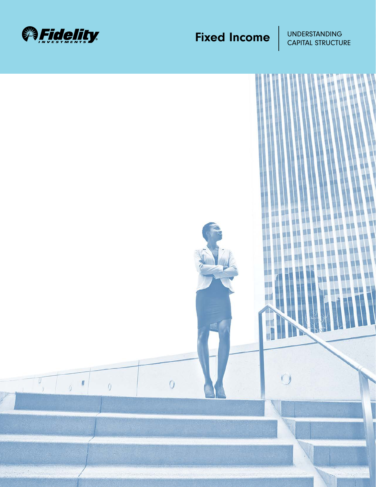

## **Fixed Income** UNDERSTANDING

CAPITAL STRUCTURE

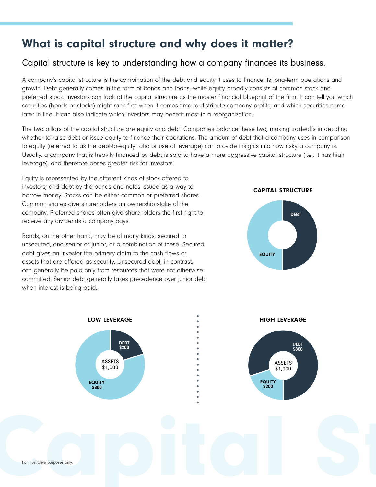### What is capital structure and why does it matter?

#### Capital structure is key to understanding how a company finances its business.

A company's capital structure is the combination of the debt and equity it uses to finance its long-term operations and growth. Debt generally comes in the form of bonds and loans, while equity broadly consists of common stock and preferred stock. Investors can look at the capital structure as the master financial blueprint of the firm. It can tell you which securities (bonds or stocks) might rank first when it comes time to distribute company profits, and which securities come later in line. It can also indicate which investors may benefit most in a reorganization.

The two pillars of the capital structure are equity and debt. Companies balance these two, making tradeoffs in deciding whether to raise debt or issue equity to finance their operations. The amount of debt that a company uses in comparison to equity (referred to as the debt-to-equity ratio or use of leverage) can provide insights into how risky a company is. Usually, a company that is heavily financed by debt is said to have a more aggressive capital structure (i.e., it has high leverage), and therefore poses greater risk for investors.

Equity is represented by the different kinds of stock offered to investors, and debt by the bonds and notes issued as a way to borrow money. Stocks can be either common or preferred shares. Common shares give shareholders an ownership stake of the company. Preferred shares often give shareholders the first right to receive any dividends a company pays.

Bonds, on the other hand, may be of many kinds: secured or unsecured, and senior or junior, or a combination of these. Secured debt gives an investor the primary claim to the cash flows or assets that are offered as security. Unsecured debt, in contrast, can generally be paid only from resources that were not otherwise committed. Senior debt generally takes precedence over junior debt when interest is being paid.

CAPITAL STRUCTURE



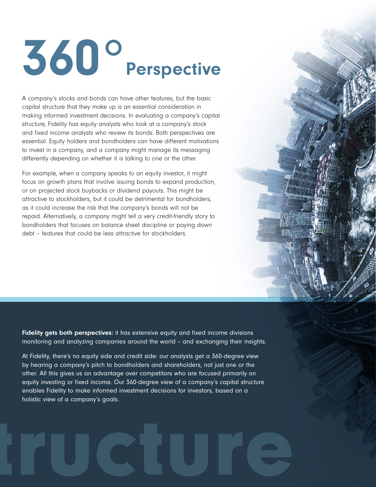# 360° Perspective

A company's stocks and bonds can have other features, but the basic capital structure that they make up is an essential consideration in making informed investment decisions. In evaluating a company's capital structure, Fidelity has equity analysts who look at a company's stock and fixed income analysts who review its bonds. Both perspectives are essential. Equity holders and bondholders can have different motivations to invest in a company, and a company might manage its messaging differently depending on whether it is talking to one or the other.

For example, when a company speaks to an equity investor, it might focus on growth plans that involve issuing bonds to expand production, or on projected stock buybacks or dividend payouts. This might be attractive to stockholders, but it could be detrimental for bondholders, as it could increase the risk that the company's bonds will not be repaid. Alternatively, a company might tell a very credit-friendly story to bondholders that focuses on balance sheet discipline or paying down debt – features that could be less attractive for stockholders.

Fidelity gets both perspectives: it has extensive equity and fixed income divisions monitoring and analyzing companies around the world – and exchanging their insights.

At Fidelity, there's no equity side and credit side: our analysts get a 360-degree view by hearing a company's pitch to bondholders and shareholders, not just one or the other. All this gives us an advantage over competitors who are focused primarily on equity investing or fixed income. Our 360-degree view of a company's capital structure enables Fidelity to make informed investment decisions for investors, based on a holistic view of a company's goals.